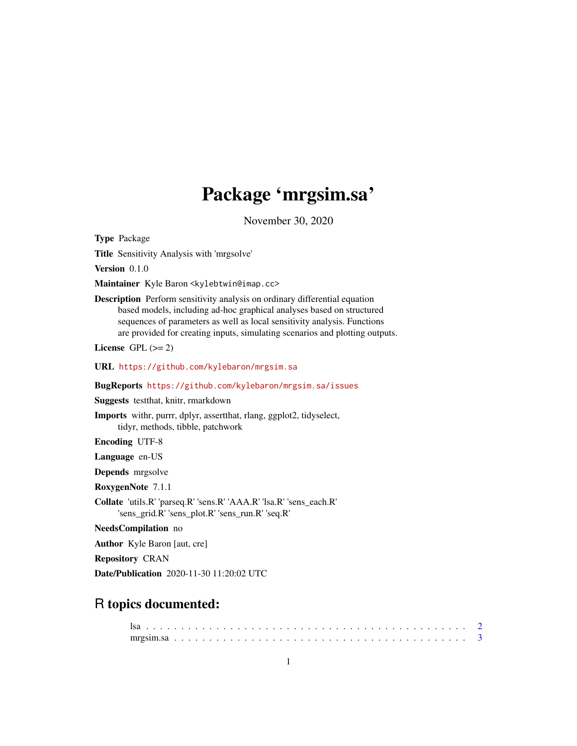## Package 'mrgsim.sa'

November 30, 2020

<span id="page-0-0"></span>Type Package

Title Sensitivity Analysis with 'mrgsolve'

Version 0.1.0

Maintainer Kyle Baron <kylebtwin@imap.cc>

Description Perform sensitivity analysis on ordinary differential equation based models, including ad-hoc graphical analyses based on structured sequences of parameters as well as local sensitivity analysis. Functions are provided for creating inputs, simulating scenarios and plotting outputs.

License GPL  $(>= 2)$ 

URL <https://github.com/kylebaron/mrgsim.sa>

BugReports <https://github.com/kylebaron/mrgsim.sa/issues>

Suggests testthat, knitr, rmarkdown

Imports withr, purrr, dplyr, assertthat, rlang, ggplot2, tidyselect, tidyr, methods, tibble, patchwork

Encoding UTF-8

Language en-US

Depends mrgsolve

RoxygenNote 7.1.1

Collate 'utils.R' 'parseq.R' 'sens.R' 'AAA.R' 'lsa.R' 'sens\_each.R' 'sens\_grid.R' 'sens\_plot.R' 'sens\_run.R' 'seq.R'

NeedsCompilation no

Author Kyle Baron [aut, cre]

Repository CRAN

Date/Publication 2020-11-30 11:20:02 UTC

## R topics documented: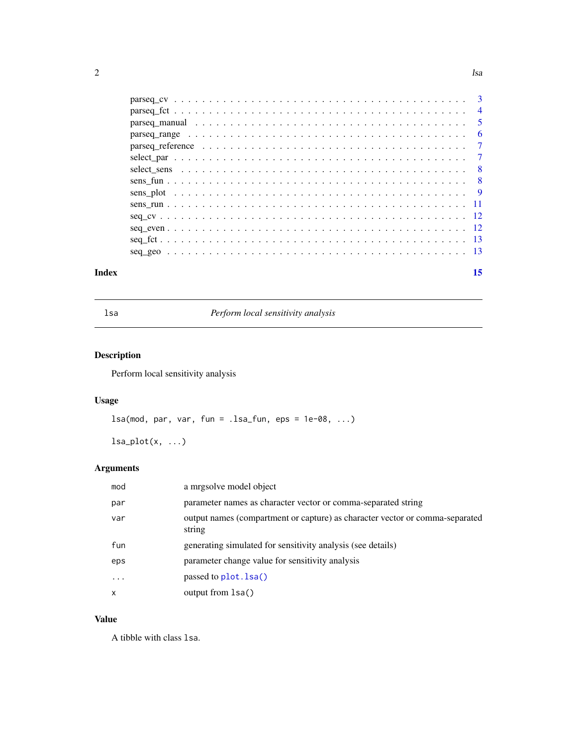<span id="page-1-0"></span>

| Index | 15 |
|-------|----|
|       |    |
|       |    |
|       |    |
|       |    |
|       |    |
|       |    |
|       |    |
|       |    |
|       |    |
|       |    |
|       |    |
|       |    |
|       |    |
|       |    |

<span id="page-1-1"></span>lsa *Perform local sensitivity analysis*

## Description

Perform local sensitivity analysis

## Usage

```
lsa(mod, par, var, fun = .lsa_fun, eps = 1e-08, ...)
```
 $lsa.plot(x, ...)$ 

## Arguments

| mod      | a mrgsolve model object                                                                |
|----------|----------------------------------------------------------------------------------------|
| par      | parameter names as character vector or comma-separated string                          |
| var      | output names (compartment or capture) as character vector or comma-separated<br>string |
| fun      | generating simulated for sensitivity analysis (see details)                            |
| eps      | parameter change value for sensitivity analysis                                        |
| $\cdots$ | passed to plot. lsa()                                                                  |
| X        | output from 1sa()                                                                      |

## Value

A tibble with class lsa.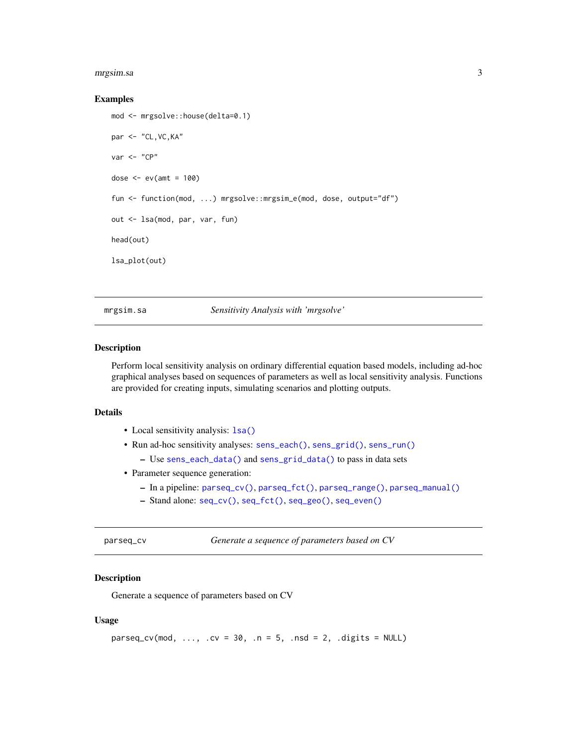#### <span id="page-2-0"></span>mrgsim.sa 3

#### Examples

```
mod <- mrgsolve::house(delta=0.1)
par <- "CL,VC,KA"
var <- "CP"
dose \leq -ev(\text{amt} = 100)fun <- function(mod, ...) mrgsolve::mrgsim_e(mod, dose, output="df")
out <- lsa(mod, par, var, fun)
head(out)
lsa_plot(out)
```
mrgsim.sa *Sensitivity Analysis with 'mrgsolve'*

#### **Description**

Perform local sensitivity analysis on ordinary differential equation based models, including ad-hoc graphical analyses based on sequences of parameters as well as local sensitivity analysis. Functions are provided for creating inputs, simulating scenarios and plotting outputs.

#### Details

- Local sensitivity analysis: 1sa()
- Run ad-hoc sensitivity analyses: [sens\\_each\(\)](#page-7-1), [sens\\_grid\(\)](#page-7-1), [sens\\_run\(\)](#page-10-1)
	- Use [sens\\_each\\_data\(\)](#page-7-1) and [sens\\_grid\\_data\(\)](#page-7-1) to pass in data sets
- Parameter sequence generation:
	- In a pipeline: [parseq\\_cv\(\)](#page-2-1), [parseq\\_fct\(\)](#page-3-1), [parseq\\_range\(\)](#page-5-1), [parseq\\_manual\(\)](#page-4-1)
	- Stand alone: [seq\\_cv\(\)](#page-11-1), [seq\\_fct\(\)](#page-12-1), [seq\\_geo\(\)](#page-12-2), [seq\\_even\(\)](#page-11-2)

<span id="page-2-1"></span>parseq\_cv *Generate a sequence of parameters based on CV*

## Description

Generate a sequence of parameters based on CV

```
parseq_cv(mod, ..., cv = 30, n = 5, nsd = 2, digits = NULL)
```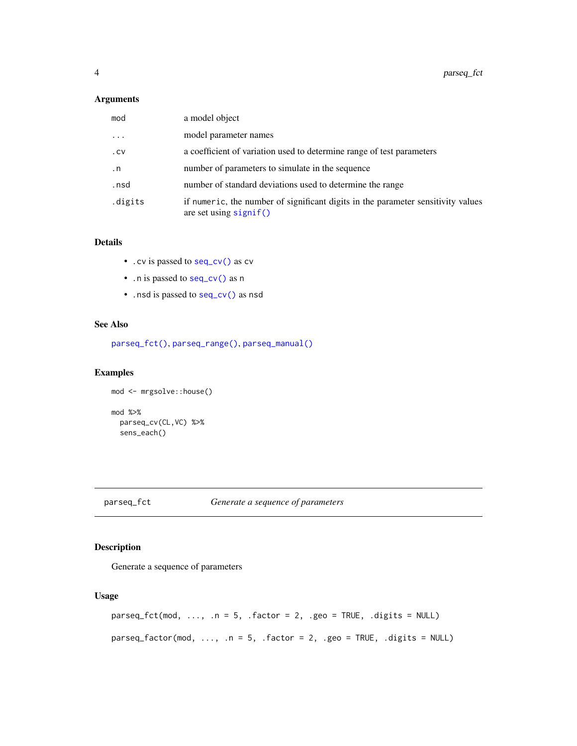#### <span id="page-3-0"></span>Arguments

| mod       | a model object                                                                                               |
|-----------|--------------------------------------------------------------------------------------------------------------|
| $\cdot$   | model parameter names                                                                                        |
| .CV       | a coefficient of variation used to determine range of test parameters                                        |
| $\cdot$ n | number of parameters to simulate in the sequence                                                             |
| .nsd      | number of standard deviations used to determine the range                                                    |
| .digits   | if numeric, the number of significant digits in the parameter sensitivity values<br>are set using $signif()$ |

### Details

- .cv is passed to [seq\\_cv\(\)](#page-11-1) as cv
- .n is passed to [seq\\_cv\(\)](#page-11-1) as n
- .nsd is passed to [seq\\_cv\(\)](#page-11-1) as nsd

## See Also

[parseq\\_fct\(\)](#page-3-1), [parseq\\_range\(\)](#page-5-1), [parseq\\_manual\(\)](#page-4-1)

## Examples

```
mod <- mrgsolve::house()
mod %>%
  parseq_cv(CL,VC) %>%
  sens_each()
```
## <span id="page-3-1"></span>parseq\_fct *Generate a sequence of parameters*

## Description

Generate a sequence of parameters

```
parseq_fct(mod, ..., n = 5, .factor = 2, .geo = TRUE, .digits = NULL)parseq_factor(mod, ..., \ldots = 5, .factor = 2, .geo = TRUE, .digits = NULL)
```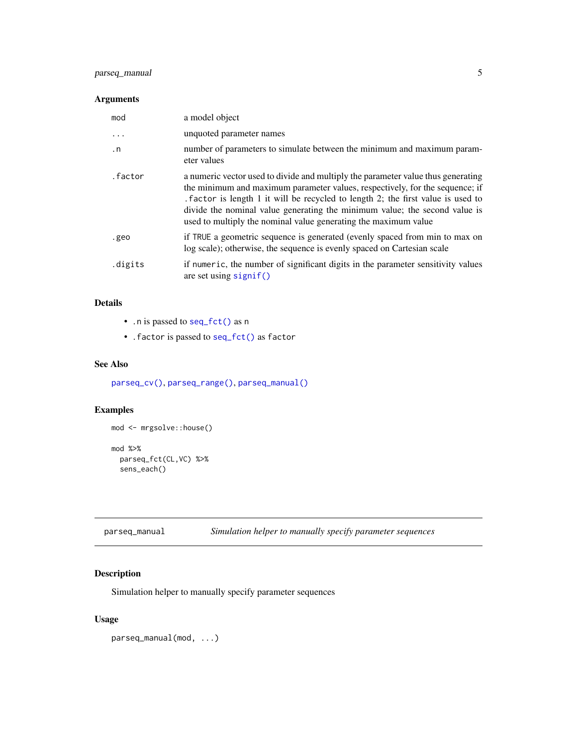## <span id="page-4-0"></span>parseq\_manual 5

## Arguments

| mod       | a model object                                                                                                                                                                                                                                                                                                                                                                                        |
|-----------|-------------------------------------------------------------------------------------------------------------------------------------------------------------------------------------------------------------------------------------------------------------------------------------------------------------------------------------------------------------------------------------------------------|
| .         | unquoted parameter names                                                                                                                                                                                                                                                                                                                                                                              |
| $\cdot$ n | number of parameters to simulate between the minimum and maximum param-<br>eter values                                                                                                                                                                                                                                                                                                                |
| .factor   | a numeric vector used to divide and multiply the parameter value thus generating<br>the minimum and maximum parameter values, respectively, for the sequence; if<br>. factor is length 1 it will be recycled to length 2; the first value is used to<br>divide the nominal value generating the minimum value; the second value is<br>used to multiply the nominal value generating the maximum value |
| .geo      | if TRUE a geometric sequence is generated (evenly spaced from min to max on<br>log scale); otherwise, the sequence is evenly spaced on Cartesian scale                                                                                                                                                                                                                                                |
| .digits   | if numeric, the number of significant digits in the parameter sensitivity values<br>are set using $signif()$                                                                                                                                                                                                                                                                                          |

## Details

- .n is passed to [seq\\_fct\(\)](#page-12-1) as n
- .factor is passed to [seq\\_fct\(\)](#page-12-1) as factor

## See Also

[parseq\\_cv\(\)](#page-2-1), [parseq\\_range\(\)](#page-5-1), [parseq\\_manual\(\)](#page-4-1)

## Examples

```
mod <- mrgsolve::house()
mod %>%
  parseq_fct(CL,VC) %>%
```
sens\_each()

<span id="page-4-1"></span>parseq\_manual *Simulation helper to manually specify parameter sequences*

## Description

Simulation helper to manually specify parameter sequences

## Usage

parseq\_manual(mod, ...)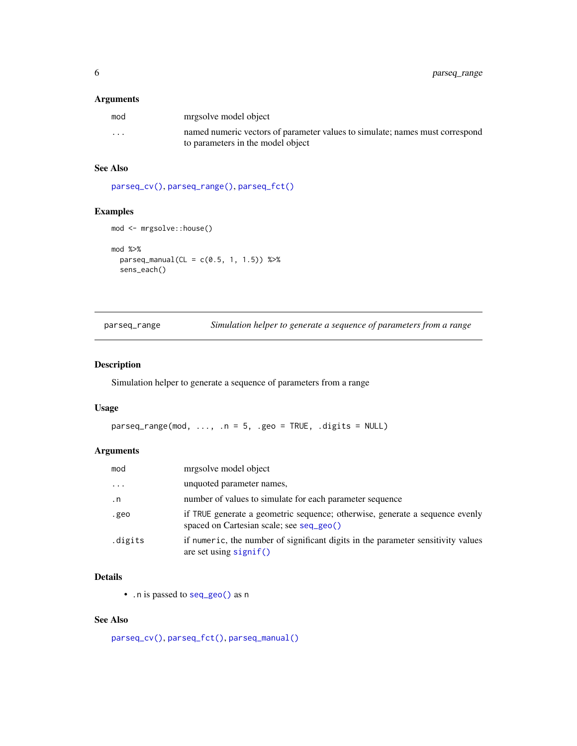#### <span id="page-5-0"></span>Arguments

| mod     | mrgsolve model object                                                                                             |
|---------|-------------------------------------------------------------------------------------------------------------------|
| $\cdot$ | named numeric vectors of parameter values to simulate; names must correspond<br>to parameters in the model object |

## See Also

[parseq\\_cv\(\)](#page-2-1), [parseq\\_range\(\)](#page-5-1), [parseq\\_fct\(\)](#page-3-1)

## Examples

```
mod <- mrgsolve::house()
```

```
mod %>%
  parseq_manual(CL = c(0.5, 1, 1.5)) %>%
  sens_each()
```
<span id="page-5-1"></span>parseq\_range *Simulation helper to generate a sequence of parameters from a range*

## Description

Simulation helper to generate a sequence of parameters from a range

#### Usage

```
parseq_range(mod, ..., .n = 5, .geo = TRUE, .digits = NULL)
```
## Arguments

| mod       | mrgsolve model object                                                                                                    |
|-----------|--------------------------------------------------------------------------------------------------------------------------|
| .         | unquoted parameter names,                                                                                                |
| $\cdot$ n | number of values to simulate for each parameter sequence                                                                 |
| .geo      | if TRUE generate a geometric sequence; otherwise, generate a sequence evenly<br>spaced on Cartesian scale; see seq_geo() |
| .digits   | if numeric, the number of significant digits in the parameter sensitivity values<br>are set using $signif()$             |

## Details

• .n is passed to [seq\\_geo\(\)](#page-12-2) as n

## See Also

[parseq\\_cv\(\)](#page-2-1), [parseq\\_fct\(\)](#page-3-1), [parseq\\_manual\(\)](#page-4-1)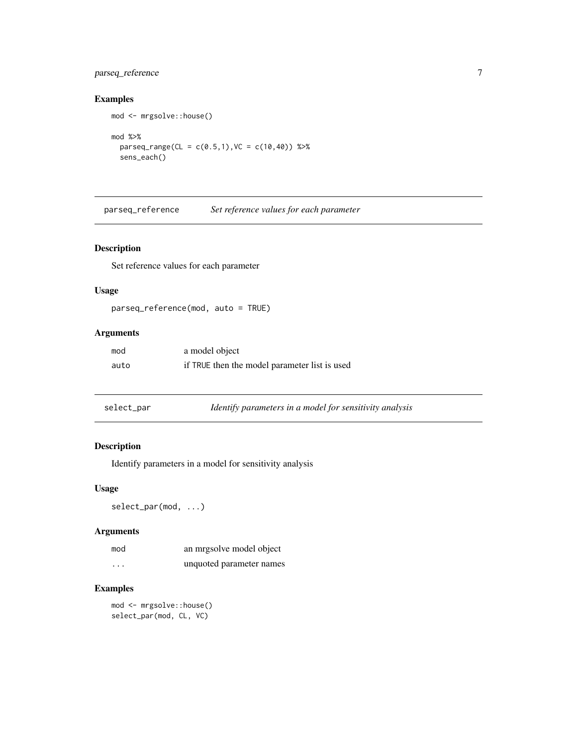## <span id="page-6-0"></span>parseq\_reference 7

mod <- mrgsolve::house()

## Examples

mod %>%  $parseq_range(CL = c(0.5, 1), VC = c(10, 40)) %$ sens\_each()

parseq\_reference *Set reference values for each parameter*

## Description

Set reference values for each parameter

## Usage

parseq\_reference(mod, auto = TRUE)

## Arguments

| mod  | a model object                                |
|------|-----------------------------------------------|
| auto | if TRUE then the model parameter list is used |

| select_par | Identify parameters in a model for sensitivity analysis |  |
|------------|---------------------------------------------------------|--|
|            |                                                         |  |

## Description

Identify parameters in a model for sensitivity analysis

#### Usage

select\_par(mod, ...)

## Arguments

| mod      | an mrgsolve model object |
|----------|--------------------------|
| $\cdots$ | unquoted parameter names |

## Examples

mod <- mrgsolve::house() select\_par(mod, CL, VC)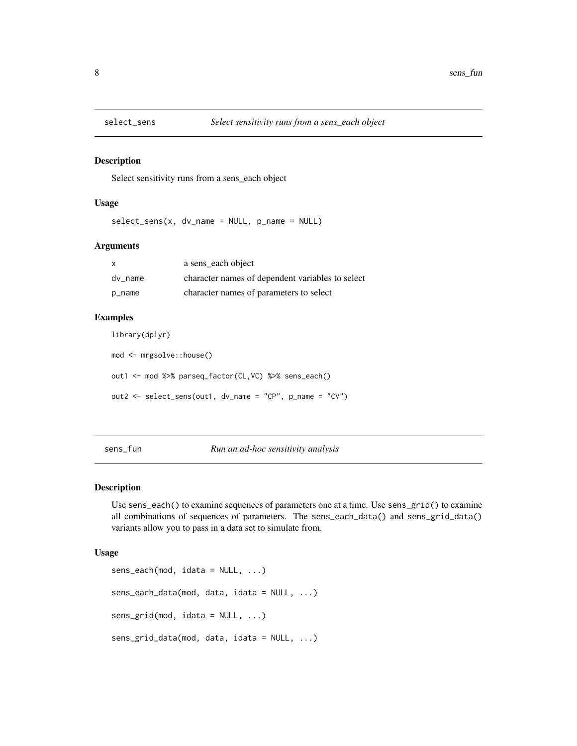<span id="page-7-0"></span>

#### Description

Select sensitivity runs from a sens\_each object

#### Usage

select\_sens(x, dv\_name = NULL, p\_name = NULL)

#### Arguments

| X       | a sens_each object                               |
|---------|--------------------------------------------------|
| dy name | character names of dependent variables to select |
| p_name  | character names of parameters to select          |

#### Examples

library(dplyr)

mod <- mrgsolve::house() out1 <- mod %>% parseq\_factor(CL,VC) %>% sens\_each() out2 <- select\_sens(out1, dv\_name = "CP", p\_name = "CV")

sens\_fun *Run an ad-hoc sensitivity analysis*

#### <span id="page-7-1"></span>Description

Use sens\_each() to examine sequences of parameters one at a time. Use sens\_grid() to examine all combinations of sequences of parameters. The sens\_each\_data() and sens\_grid\_data() variants allow you to pass in a data set to simulate from.

```
sens_each(mod, idata = NULL, ...)
sens_each_data(mod, data, idata = NULL, ...)
sens_grid(mod, idata = NULL, ...)
sens_grid_data(mod, data, idata = NULL, ...)
```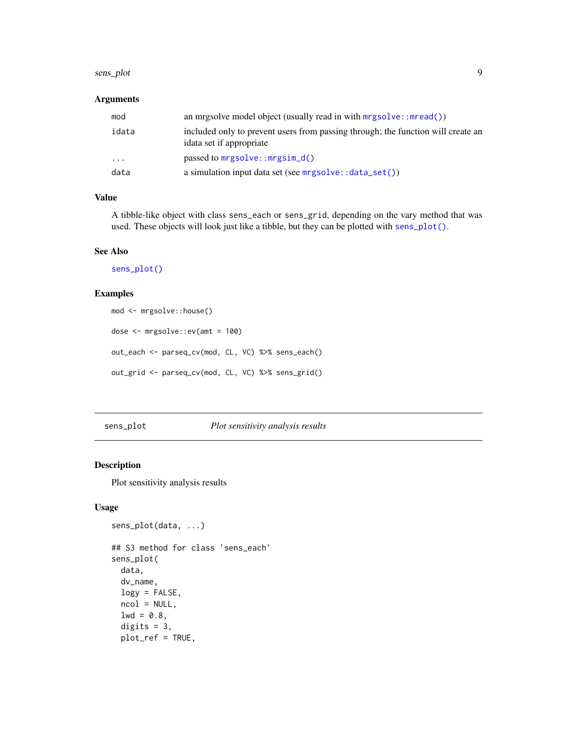#### <span id="page-8-0"></span>sens\_plot 9

## Arguments

| mod     | an mrgsolve model object (usually read in with $mrgsolve::mread()$ )                                         |
|---------|--------------------------------------------------------------------------------------------------------------|
| idata   | included only to prevent users from passing through; the function will create an<br>idata set if appropriate |
| $\cdot$ | passed to $mrgsolve::mrgsim_d()$                                                                             |
| data    | a simulation input data set (see $mrsolve::data_set()$ )                                                     |

## Value

A tibble-like object with class sens\_each or sens\_grid, depending on the vary method that was used. These objects will look just like a tibble, but they can be plotted with [sens\\_plot\(\)](#page-8-1).

#### See Also

[sens\\_plot\(\)](#page-8-1)

#### Examples

```
mod <- mrgsolve::house()
dose <- mrgsolve::ev(amt = 100)
out_each <- parseq_cv(mod, CL, VC) %>% sens_each()
out_grid <- parseq_cv(mod, CL, VC) %>% sens_grid()
```
<span id="page-8-1"></span>sens\_plot *Plot sensitivity analysis results*

## Description

Plot sensitivity analysis results

```
sens_plot(data, ...)
## S3 method for class 'sens_each'
sens_plot(
 data,
 dv_name,
 logy = FALSE,
 ncol = NULL,1wd = 0.8,
 digits = 3,
 plot_ref = TRUE,
```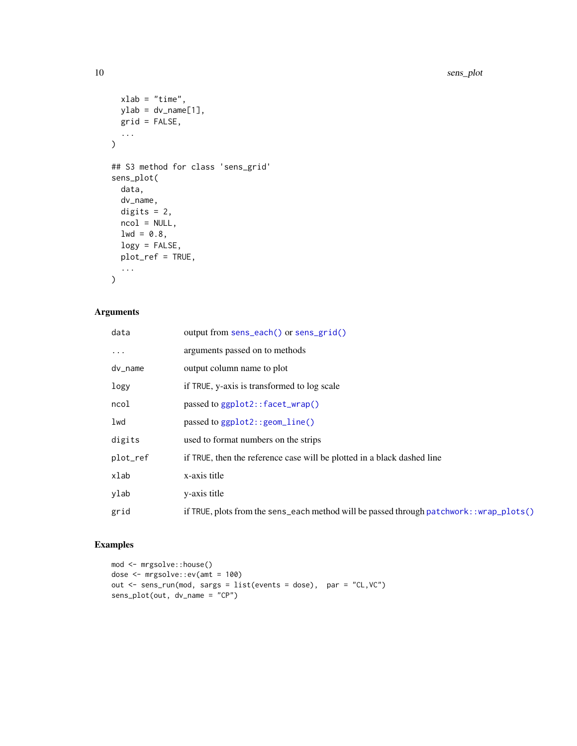```
xlab = "time",
  ylab = dv_name[1],
  grid = FALSE,
  ...
\mathcal{L}## S3 method for class 'sens_grid'
sens_plot(
  data,
  dv_name,
  digits = 2,
  ncol = NULL,1wd = 0.8,
  logy = FALSE,
  plot_ref = TRUE,
  ...
\mathcal{L}
```
## Arguments

| data       | output from sens_each() or sens_grid()                                                    |
|------------|-------------------------------------------------------------------------------------------|
| $\cdots$   | arguments passed on to methods                                                            |
| $dv_$ name | output column name to plot                                                                |
| logy       | if TRUE, y-axis is transformed to log scale                                               |
| ncol       | passed to ggplot2::facet_wrap()                                                           |
| lwd        | passed to ggplot2:: geom_line()                                                           |
| digits     | used to format numbers on the strips                                                      |
| plot_ref   | if TRUE, then the reference case will be plotted in a black dashed line                   |
| xlab       | x-axis title                                                                              |
| ylab       | y-axis title                                                                              |
| grid       | if TRUE, plots from the sens_each method will be passed through patchwork: : wrap_plots() |

## Examples

```
mod <- mrgsolve::house()
dose <- mrgsolve::ev(amt = 100)
out <- sens_run(mod, sargs = list(events = dose), par = "CL,VC")
sens_plot(out, dv_name = "CP")
```
<span id="page-9-0"></span>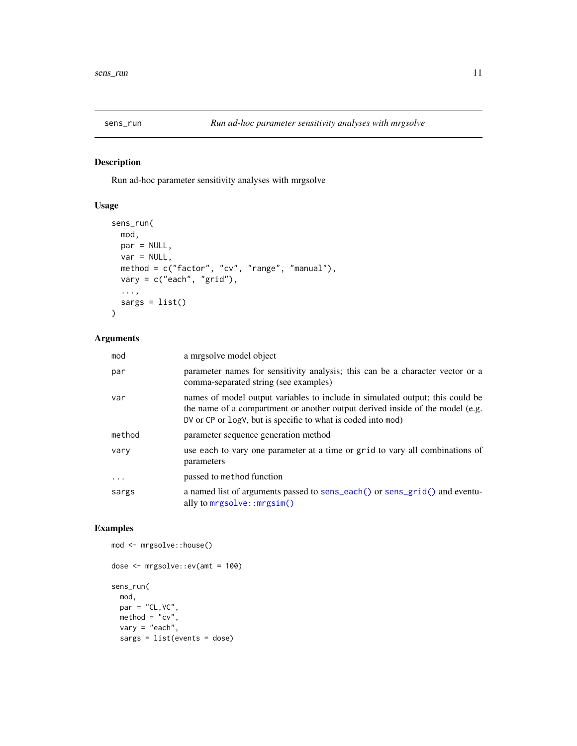<span id="page-10-1"></span><span id="page-10-0"></span>

## Description

Run ad-hoc parameter sensitivity analyses with mrgsolve

## Usage

```
sens_run(
 mod,
 par = NULL,
 var = NULL,method = c("factor", "cv", "range", "manual"),
 vary = c("each", "grid"),
  ...,
  sargs = list()
)
```
## Arguments

| mod     | a mrgsolve model object                                                                                                                                                                                                        |
|---------|--------------------------------------------------------------------------------------------------------------------------------------------------------------------------------------------------------------------------------|
| par     | parameter names for sensitivity analysis; this can be a character vector or a<br>comma-separated string (see examples)                                                                                                         |
| var     | names of model output variables to include in simulated output; this could be<br>the name of a compartment or another output derived inside of the model (e.g.<br>DV or CP or logV, but is specific to what is coded into mod) |
| method  | parameter sequence generation method                                                                                                                                                                                           |
| vary    | use each to vary one parameter at a time or grid to vary all combinations of<br>parameters                                                                                                                                     |
| $\cdot$ | passed to method function                                                                                                                                                                                                      |
| sargs   | a named list of arguments passed to sens_each() or sens_grid() and eventu-<br>ally to mrgsolve:: mrgsim()                                                                                                                      |

## Examples

```
dose <- mrgsolve::ev(amt = 100)
sens_run(
  mod,
  par = "CL, VC",method = "cv",vary = "each",
  sargs = list(events = dose)
```
mod <- mrgsolve::house()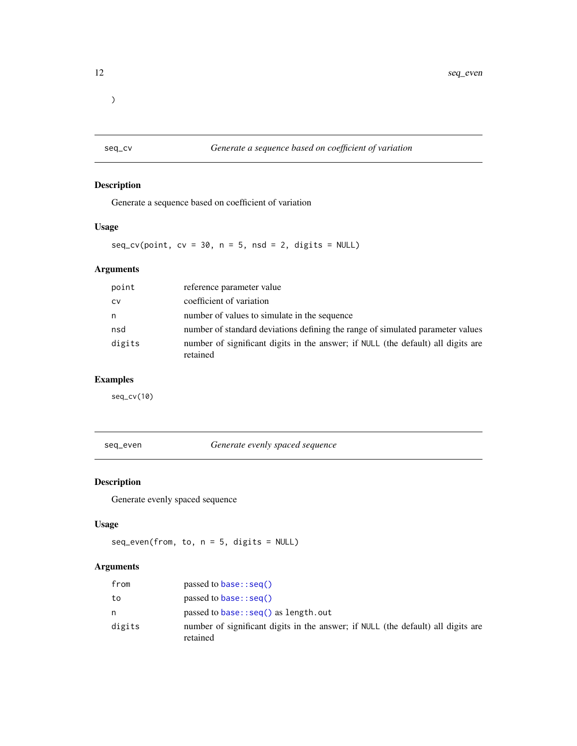<span id="page-11-0"></span> $\overline{\phantom{a}}$ 

<span id="page-11-1"></span>seq\_cv *Generate a sequence based on coefficient of variation*

## Description

Generate a sequence based on coefficient of variation

## Usage

 $seq\_cv(point, cv = 30, n = 5, nsd = 2, digits = NULL)$ 

## Arguments

| point     | reference parameter value                                                                    |
|-----------|----------------------------------------------------------------------------------------------|
| <b>CV</b> | coefficient of variation                                                                     |
| n         | number of values to simulate in the sequence                                                 |
| nsd       | number of standard deviations defining the range of simulated parameter values               |
| digits    | number of significant digits in the answer; if NULL (the default) all digits are<br>retained |

## Examples

seq\_cv(10)

<span id="page-11-2"></span>seq\_even *Generate evenly spaced sequence*

## Description

Generate evenly spaced sequence

## Usage

 $seq\_even(from, to, n = 5, digits = NULL)$ 

## Arguments

| from   | passed to base: $seq()$                                                                      |
|--------|----------------------------------------------------------------------------------------------|
| to     | passed to base: $seq()$                                                                      |
| n.     | passed to $base::seq()$ as length. out                                                       |
| digits | number of significant digits in the answer; if NULL (the default) all digits are<br>retained |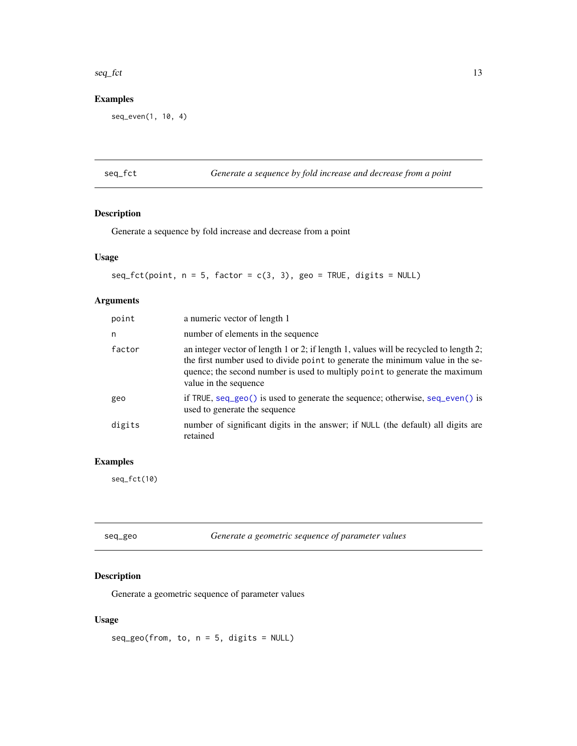#### <span id="page-12-0"></span>seq\_fct 13

## Examples

seq\_even(1, 10, 4)

<span id="page-12-1"></span>seq\_fct *Generate a sequence by fold increase and decrease from a point*

## Description

Generate a sequence by fold increase and decrease from a point

## Usage

 $seq_fct(point, n = 5, factor = c(3, 3), geo = TRUE, digits = NULL)$ 

## Arguments

| a numeric vector of length 1                                                                                                                                                                                                                                                               |
|--------------------------------------------------------------------------------------------------------------------------------------------------------------------------------------------------------------------------------------------------------------------------------------------|
| number of elements in the sequence                                                                                                                                                                                                                                                         |
| an integer vector of length $1$ or $2$ ; if length $1$ , values will be recycled to length $2$ ;<br>the first number used to divide point to generate the minimum value in the se-<br>quence; the second number is used to multiply point to generate the maximum<br>value in the sequence |
| if TRUE, $seq\_geo()$ is used to generate the sequence; otherwise, $seq\_even()$ is<br>used to generate the sequence                                                                                                                                                                       |
| number of significant digits in the answer; if NULL (the default) all digits are<br>retained                                                                                                                                                                                               |
|                                                                                                                                                                                                                                                                                            |

## Examples

seq\_fct(10)

<span id="page-12-2"></span>

| seq_geo | Generate a geometric sequence of parameter values |  |
|---------|---------------------------------------------------|--|
|         |                                                   |  |

## Description

Generate a geometric sequence of parameter values

## Usage

 $seq\_geo(from, to, n = 5, digits = NULL)$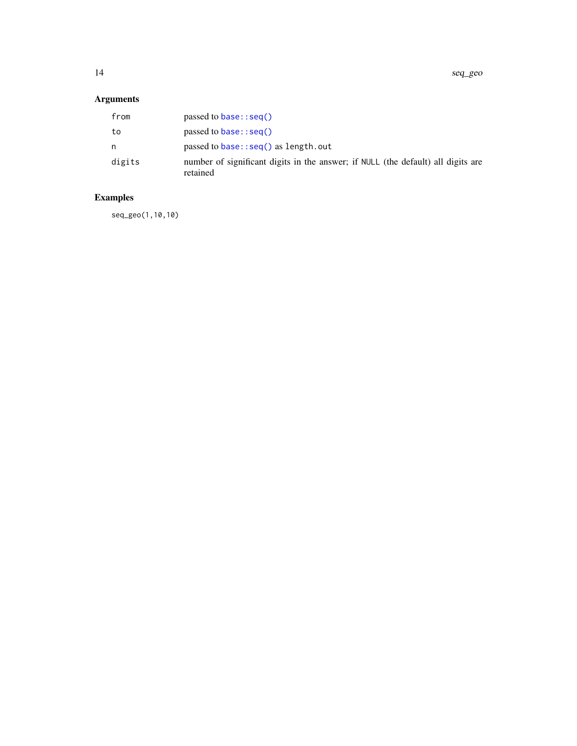<span id="page-13-0"></span>14 seq\_geo

## Arguments

| from   | passed to base: $seq()$                                                                      |
|--------|----------------------------------------------------------------------------------------------|
| to     | passed to base: $seq()$                                                                      |
| n      | passed to $base::seq()$ as length. out                                                       |
| digits | number of significant digits in the answer; if NULL (the default) all digits are<br>retained |

## Examples

seq\_geo(1,10,10)